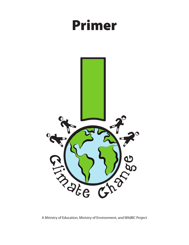# Primer



A Ministry of Education, Ministry of Environment, and WildBC Project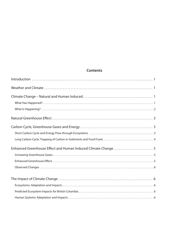# **Contents**

| Enhanced Greenhouse Effect and Human Induced Climate Change  5 |
|----------------------------------------------------------------|
|                                                                |
|                                                                |
|                                                                |
|                                                                |
|                                                                |
|                                                                |
|                                                                |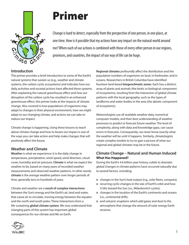

# Primer

Change is hard to detect, especially from the perspective of one person, in one place, at one time. How is it possible that my actions have any impact on the natural world around me? When each of our actions is combined with those of every other person in our regions, provinces, and countries, the impact of our way of life can be huge.

# **Introduction**

This primer provides a brief introduction to some of the Earth's natural systems that sustain us (e.g., weather and climate systems, the carbon cycle, ecosystems) and indicates how our daily activities and societal actions have affected these systems. After explaining the natural greenhouse effect and how our disruption of the carbon cycle has resulted in an enhanced greenhouse effect, this primer looks at the impacts of climate change. Also covered is how populations of organisms may adapt to changes in their physical environment, how we might adapt to our changing climate, and actions we can take to reduce our impact.

Climate change is happening. Using these lessons to teach about climate change and how to lessen our impact is one of the ways you can take action and help make changes that will positively affect the future.

# **Weather and Climate**

**Weather** is what we experience: it is the daily change in temperature, precipitation, wind speed, wind direction, cloud cover, humidity and air pressure. **Climate** is what we expect the weather to be, based on many years of recorded weather measurements and observed weather patterns. In other words, **climate** is the *average* weather pattern over longer periods of time, generally tens to hundreds of years.

Climate and weather are a **result of complex interactions** between the Sun's energy and the Earth's air, land and water, that cause air to circulate, moving energy between the equator and the north and south poles. These interactions form a life-sustaining **global climate system**. We now understand that changing parts of this system has important global consequences for our climate and life on Earth.

**Regional climates** profoundly affect the distribution and the population numbers of organisms on land, in freshwater, and in oceans. Researchers in British Columbia have identified fourteen land-based **biogeoclimatic zones**. Each has a distinct array of plants and animals (the biotic or biological component of ecosystems), resulting from the interaction of global climate patterns with the local geography, such as the types of landforms and water bodies in the area (the abiotic component of ecosystems).

Meteorologists use all available weather data, numerical computer models, and their best understanding of weather processes to predict or forecast future weather. The level of complexity, along with data and knowledge gaps, can cause errors in forecasts. Consequently, we never know exactly what the weather will be until it happens. Similarly, climatologists create complex models to try to gain a picture of what our regional and global climates may be in the future.

## **Climate Change – Natural and Human Induced What Has Happened?**

During the Earth's 4.6 billion year history, subtle to dramatic global changes in climate patterns have occurred naturally due to several factors, including:

- $\blacksquare$  changes in the Sun's heat output (e.g., solar flares, sunspots);
- $\blacksquare$  recurring cyclic changes in the size of Earth's orbit and how it tilts toward the Sun (i.e., Milankovitch cycles);
- $\blacksquare$  changes in the location of the Earth's continents and oceans (i.e., continental drift);
- $\blacksquare$  and volcanic eruptions which add gases and dust to the atmosphere that change the amount of solar energy Earth receives.

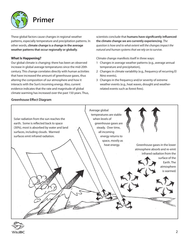

These global factors cause changes in regional weather patterns, especially temperature and precipitation patterns. In other words, **climate change is a change in the average weather patterns that occur regionally or globally**.

#### **What Is Happening?**

Our global climate is changing: there has been an observed increase in global average temperatures since the mid-20th century. This change correlates directly with human activities that have increased the amount of greenhouse gases, thus altering the composition of our atmosphere and how it interacts with the Sun's incoming energy. Also, current evidence indicates that the rate and magnitude of global climate warming has increased over the past 150 years. Thus,

#### **Greenhouse Effect Diagram**

scientists conclude that **humans have significantly influenced the climate change we are currently experiencing**. *The question is how and to what extent will the changes impact the natural and human systems that we rely on to survive.*

Climate change manifests itself in three ways:

- 1 Changes in average weather patterns (e.g., average annual temperature and precipitation),
- 2 Changes in climate variability (e.g., frequency of recurring El Nino events),
- 3 Changes in the frequency and/or severity of extreme weather events (e.g., heat waves, drought and weatherrelated events such as forest fires).



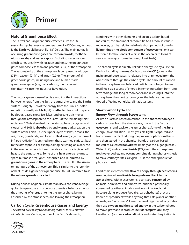

# **Natural Greenhouse Effect**

The Earth's natural greenhouse effect ensures the lifesustaining global average temperature of +15° Celsius; without it, the Earth would be a chilly -18° Celsius. The main naturally occurring **greenhouse gases** are **carbon dioxide, methane, nitrous oxide, and water vapour.** Excluding water vapour, which varies greatly with location and time, the greenhouse gases compose less than one percent (<1%) of the atmosphere. The vast majority of the atmosphere is composed of nitrogen (78%), oxygen (21%) and argon (0.9%). The amount of all greenhouse gases, including trace and human made greenhouse gases (e.g., halocarbons), has increased significantly since the Industrial Revolution.

The natural greenhouse effect is a result of the interactions between energy from the Sun, the atmosphere, and the Earth's surface. Roughly 30% of the energy from the Sun (i.e., **solar radiation** - mostly **visible light**) is **reflected** back out to space by clouds, gases, snow, ice, lakes, and oceans as it moves through the atmosphere to the Earth. Of the remaining solar radiation, 20% is absorbed by the atmosphere (i.e., gases and clouds) and 50% is **absorbed** by and **warms** dark areas on the surface of the Earth (i.e., the upper layers of lakes, oceans, the soil, rocks, grasslands, and forests). **Heat energy** (in the form of infrared radiation) is emitted from these warmed surfaces back to the atmosphere. For example, imagine sitting on a dark rock in the evening after a hot summer day – the rock is giving off heat to the atmosphere. Some of this **heat energy** returns to space but most is "caught" - **absorbed and re-emitted by greenhouse gases in the atmosphere**. The result is the rise in temperature of the atmosphere. This is similar to the retention of heat inside a gardener's greenhouse, thus it is referred to as the **natural greenhouse effect**.

During periods of global climate stability, a constant average global temperature exists because there is a **balance** amongst the amounts of energy entering the atmosphere, being absorbed by the atmosphere, and leaving the atmosphere.

# **Carbon Cycle, Greenhouse Gases and Energy**

*The carbon cycle is key to explaining reasons for our current climate change.* **Carbon,** as one of the Earth's elements,



combines with other elements and creates carbon based molecules; the amount of carbon is **finite.** Carbon, in various molecules, can be held for relatively short periods of time in **living things (the biotic component of ecosystems)** or it can be stored for thousands of years in the ocean or millions of years in geological formations (e.g., fossil fuels).

The **carbon cycle** is directly linked to energy use by all life on **Earth – including humans. <b>Carbon dioxide (CO**<sub>2</sub>), one of the main greenhouse gases, is released into or removed from the **atmosphere** through the carbon cycle. The amount of carbon in the atmosphere was balanced until humans began to use fossil fuels as a source of energy. In removing carbon from long term storage (the long carbon cycle) and releasing it into the atmosphere (the short carbon cycle), the balance has been tipped, affecting our global climatic systems.

#### **Short Carbon Cycle and Energy Flow through Ecosystems**

All life on Earth is based on carbon: in the **short carbon cycle** carbon moves from the atmosphere, through the Earth's **ecosystems**, and back to the atmosphere. Some of the **Sun**'s energy (solar radiation – mostly visible light) is captured and transformed by plants during the process of **photosynthesis** and then **stored** in the chemical bonds of carbon-based molecules called **carbohydrates** (mainly as the sugar glucose). Water (H<sub>2</sub>O) and **carbon dioxide (CO<sub>2</sub>)** from the atmosphere, freshwater bodies, and oceans **combine** during photosynthesis to make carbohydrates. Oxygen (O<sub>2</sub>) is the other product of photosynthesis.

Food chains represent the **flow of energy through ecosystems**, resulting in **carbon dioxide being released back to the atmosphere**. Within ecosystems, plants are **consumed** by animals (herbivores and omnivores) and then potentially consumed by other animals (carnivores) in a **food chain**. Because plants produce food (i.e., carbohydrates) they are known as "producers" while anything that eats plants, or other animals, are "consumers". As each animal digests carbohydrates, they **use oxygen and the stored energy** in the carbohydrates to move, grow and reproduce (**cellular respiration**); they breathe out (respire) **carbon dioxide** and water. Respiration is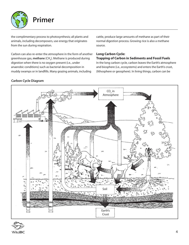

the complimentary process to photosynthesis; all plants and animals, including decomposers, use energy that originates from the sun during respiration.

Carbon can also re-enter the atmosphere in the form of another greenhouse gas, **methane** (CH<sub>4</sub>). Methane is produced during digestion when there is no oxygen present (i.e., under anaerobic conditions) such as bacterial decomposition in muddy swamps or in landfills. Many grazing animals, including

cattle, produce large amounts of methane as part of their normal digestion process. Growing rice is also a methane source.

## **Long Carbon Cycle:**

#### **Trapping of Carbon in Sediments and Fossil Fuels**

In the long carbon cycle, carbon leaves the Earth's atmosphere and biosphere (i.e., ecosystems) and enters the Earth's crust, (lithosphere or geosphere). In living things, carbon can be

# **Carbon Cycle Diagram**



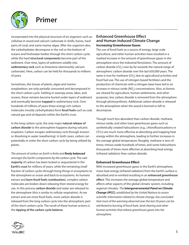

incorporated into the physical structure of an organism such as: cellulose in wood and calcium carbonate in shells, bones, hard parts of coral, and some marine algae. After the organism dies, the carbohydrates decompose in the soil or the bottom of oceans and freshwater bodies through the short carbon cycle, while the hard **structural components** become part of the sediment. Over time, layers of sediment solidify into **sedimentary rock** such as limestone (dominantly calcium carbonate). Here, carbon can be held for thousands to millions of years.

Sometimes, the tissues of plants, algae and marine zooplankton, are only partially consumed and decomposed in the short carbon cycle. Settling in swampy areas, lakes, and oceans, these remains become buried under layers of sediment and eventually become **trapped** in sedimentary rock. Over hundreds of millions of years these energy-rich carbon molecules (mostly carbohydrates) form **fossil fuels** such as coal, natural gas and oil deposits within the Earth's crust.

In the long carbon cycle, the only major **natural release of carbon dioxide** to the atmosphere happens during volcanic eruptions. Carbon escapes sedimentary rock through erosion or dissolving in water (weathering). In both cases, carbon can potentially re-enter the short carbon cycle by being utilized by plants.

*The amount of carbon on Earth is finite and finely balanced amongst the Earth's components by the carbon cycle.* The vast **majority** of carbon has been locked or sequestered in the **Earth's crust** for millions of years, while the remaining small fraction of carbon cycles through living things in ecosystems to the atmosphere or ocean and back to ecosystems. As humans extract and **burn fossil fuels** (**combustion**), complex carbon molecules are broken down releasing their stored energy for use. In this process **carbon dioxide** and water are released to the atmosphere (this is similar to cellular respiration). As we extract and use more fossil fuels, more carbon dioxide is released from the long carbon cycle into the atmospheric part of the short carbon cycle. The result of these human actions is the **tipping of the carbon cycle balance**.

#### **Enhanced Greenhouse Effect and Human Induced Climate Change Increasing Greenhouse Gases**

The use of fossil fuels as a source of energy, large scale agriculture, and other human activities have resulted in a marked increase in the amount of greenhouse gases in the atmosphere since the Industrial Revolution. The amount of carbon dioxide (CO<sub>2</sub>) now by far exceeds the natural range of atmospheric carbon dioxide over the last 650,000 years. The same is true for methane (CH<sub>4</sub>) due to agricultural activities and fossil fuel use. The use of nitrogen-based fertilizers and the production of chemicals with a nitrogen base have led to an increase in nitrous oxide (NO $_{\textrm{\tiny{2}}}$ ) concentrations. Also, as forests are cleared for agriculture, human settlements, and other purposes, less carbon dioxide is removed from the atmosphere through photosynthesis. Additional carbon dioxide is released to the atmosphere when the wood is burned or left to decompose.

Though much less abundant than carbon dioxide, methane, nitrous oxide, and other trace greenhouse gases such as synthetically created halocarbons (e.g., chlorofluorocarbons or CFCs) are much more effective at absorbing and trapping heat energy within the atmosphere, leading to further increases in the average global temperature. Roughly, methane is tens of times; nitrous oxide hundreds of times; and some halocarbons thousands of times more effective at absorbing heat energy (infrared radiation) than carbon dioxide.

#### **Enhanced Greenhouse Effect**

With increased greenhouse gases in the Earth's atmosphere, more heat energy (infrared radiation) from the Earth's surface is absorbed and re-emitted resulting in an **enhanced greenhouse effect.** This increases the average global temperature and affects other aspects of the global climatic system, including regional climates. *The Intergovernmental Panel on Climate Change (IPCC), established by the United Nations to assess scientific information related to climate change, has concluded that most of the warming observed over the last 50 years can be attributed to burning of fossil fuels, land clearing and other human activities that release greenhouse gases into the atmosphere.*

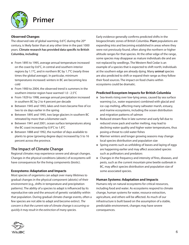

#### **Observed Changes**

The observed rate of global warming, 0.6°C during the 20<sup>th</sup> century, is likely faster than at any other time in the past 1000 years. **Climate research has provided data specific to British Columbia, including**:

- From 1895 to 1995, average annual temperature increased on the coast by 0.6°C, in central and southern interior regions by 1.1°C, and in northern BC by 1.7°C (nearly three times the global average). In particular, minimum temperatures increased: winters in BC are becoming less cold
- $\blacksquare$  From 1900 to 2004, the observed trend is summers in the southern interior region have warmed 1.0 - 2.5°C
- $\blacksquare$  From 1929 to 1998, average annual precipitation increased in southern BC by 2 to 4 percent per decade
- Between 1945 and 1993, lakes and rivers became free of ice two to six days earlier in the spring
- Between 1895 and 1995, two large glaciers in southern BC retreated by more than a kilometer each
- $\blacksquare$  Between 1941 and 2001, ocean surface temperatures along the BC coast increased by 0.9°C to 1.8°C
- $\blacksquare$  Between 1888 and 1992, the number of days available to plants to grow (growing degree days) increased by 5 to 16 percent across the province.

# **The Impact of Climate Change**

Regional climates may experience severe and abrupt changes. Changes in the physical conditions (abiotic) of ecosystems will have consequences for the living components (biotic).

#### **Ecosystems: Adaptation and Impacts**

Most species of organisms can adapt over many lifetimes to gradual changes in the physical component (abiotic) of their environment (e.g., shifts in temperature and precipitation patterns). The ability of a species to adapt is influenced by its reproductive rate and the amount of genetic variability within that population. During gradual climate change events, often a few species are not able to adapt and become extinct. *The concern is that the current rate of climate change is occurring so quickly it may result in the extinction of many species.* 

Early evidence generally confirms predicted shifts in the biogeoclimatic zones of British Columbia. **Plant** populations are expanding into and becoming established in areas where they were not previously found, often along the northern or higher altitude ranges for that species. At the other edge of the range, some species may disappear as mature individuals die and are not replaced by seedlings. The Western Red Cedar is an example of a species that is expected to shift north; individuals at the southern edge are already dying. Many **animal** species are also predicted to shift or expand their range as they follow their food sources. The impact on food chains within ecosystems could be dramatic.

#### **Predicted Ecosystem Impacts for British Columbia**

- $\blacksquare$  Sea-levels rising over low-lying areas, caused by sea surface warming (i.e., water expansion) combined with glacial and ice-cap melting, affecting many saltwater marsh, estuary, and marine ecosystems, including the ocean distribution and migration patterns of salmon
- $\blacksquare$  Reduced stream flow in late summer and early fall due to reduced snow pack and earlier melting, may lead to declining water quality and higher water temperatures, thus posing a threat to cold water fishes
- Warmer winters and longer growing seasons may change local species distribution and population size
- $\blacksquare$  Spring events such as unfolding of leaves and laying of eggs are happening earlier and may affect associated species such as pollinators and predators
- $\blacksquare$  Changes in the frequency and intensity of fires, diseases, and pests, such as the current mountain pine beetle outbreak in BC, may affect species distribution and population size of some associated species.

#### **Human Systems: Adaptation and Impacts**

Humans rely on natural ecosystems for critical resources, including food and water. As ecosystems respond to climate change, human systems for water, resource extraction, agriculture, and others will be affected. As much of our infrastructure is built based on the assumption of a stable, predictable environment, changes may have severe consequences.